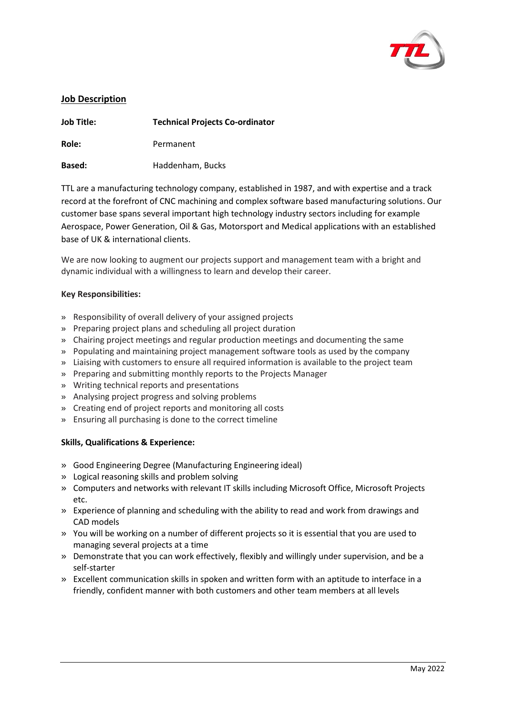

## **Job Description**

| <b>Job Title:</b> | <b>Technical Projects Co-ordinator</b> |
|-------------------|----------------------------------------|
| Role:             | Permanent                              |
| <b>Based:</b>     | Haddenham, Bucks                       |

TTL are a manufacturing technology company, established in 1987, and with expertise and a track record at the forefront of CNC machining and complex software based manufacturing solutions. Our customer base spans several important high technology industry sectors including for example Aerospace, Power Generation, Oil & Gas, Motorsport and Medical applications with an established base of UK & international clients.

We are now looking to augment our projects support and management team with a bright and dynamic individual with a willingness to learn and develop their career.

## **Key Responsibilities:**

- » Responsibility of overall delivery of your assigned projects
- » Preparing project plans and scheduling all project duration
- » Chairing project meetings and regular production meetings and documenting the same
- » Populating and maintaining project management software tools as used by the company
- » Liaising with customers to ensure all required information is available to the project team
- » Preparing and submitting monthly reports to the Projects Manager
- » Writing technical reports and presentations
- » Analysing project progress and solving problems
- » Creating end of project reports and monitoring all costs
- » Ensuring all purchasing is done to the correct timeline

## **Skills, Qualifications & Experience:**

- » Good Engineering Degree (Manufacturing Engineering ideal)
- » Logical reasoning skills and problem solving
- » Computers and networks with relevant IT skills including Microsoft Office, Microsoft Projects etc.
- » Experience of planning and scheduling with the ability to read and work from drawings and CAD models
- » You will be working on a number of different projects so it is essential that you are used to managing several projects at a time
- » Demonstrate that you can work effectively, flexibly and willingly under supervision, and be a self-starter
- » Excellent communication skills in spoken and written form with an aptitude to interface in a friendly, confident manner with both customers and other team members at all levels